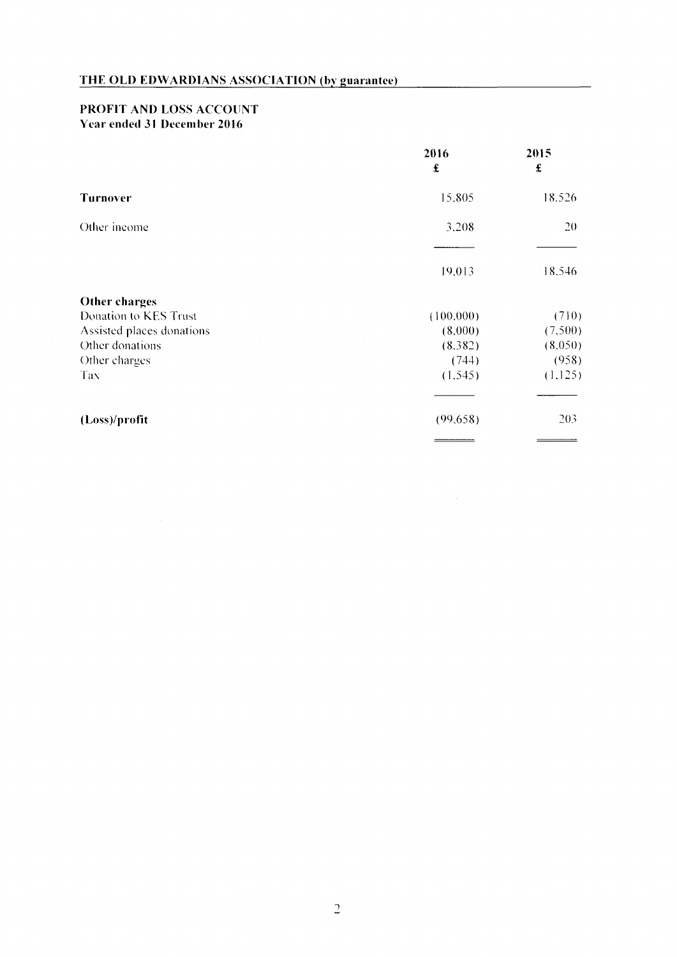## PROFIT AND LOSS ACCOUNT Year ended 31 December 2016

|                           | 2016<br>$\pmb{\mathfrak{L}}$ | 2015<br>$\pmb{\pounds}$ |
|---------------------------|------------------------------|-------------------------|
| <b>Turnover</b>           | 15,805                       | 18.526                  |
| Other income              | 3.208                        | 20                      |
|                           | 19,013                       | 18,546                  |
| Other charges             |                              |                         |
| Donation to KES Trust     | (100,000)                    | (710)                   |
| Assisted places donations | (8.000)                      | (7,500)                 |
| Other donations           | (8,382)                      | (8,050)                 |
| Other charges             | (744)                        | (958)                   |
| Tax                       | (1, 545)                     | (1,125)                 |
| (Loss)/profit             | (99,658)                     | 203                     |
|                           |                              |                         |